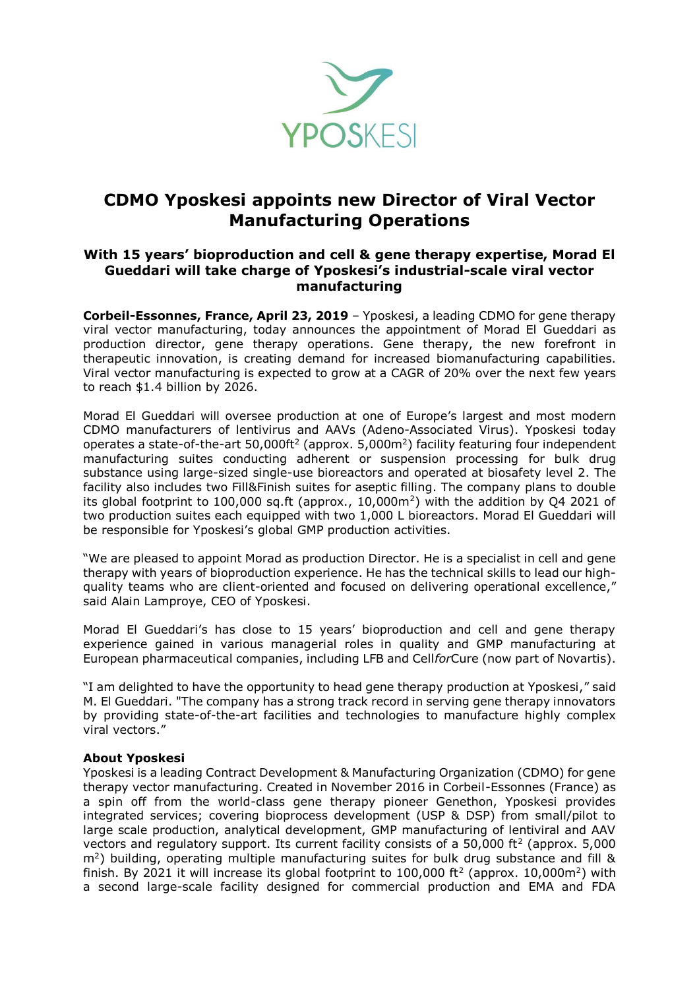

## **CDMO Yposkesi appoints new Director of Viral Vector Manufacturing Operations**

## **With 15 years' bioproduction and cell & gene therapy expertise, Morad El Gueddari will take charge of Yposkesi's industrial-scale viral vector manufacturing**

**Corbeil-Essonnes, France, April 23, 2019** – Yposkesi, a leading CDMO for gene therapy viral vector manufacturing, today announces the appointment of Morad El Gueddari as production director, gene therapy operations. Gene therapy, the new forefront in therapeutic innovation, is creating demand for increased biomanufacturing capabilities. Viral vector manufacturing is expected to grow at a [CAGR of 20% o](https://www.marketsandmarkets.com/Market-Reports/viral-vector-manufacturing-market-89341986.html)ver the next few years to reach \$1.4 billion by 2026.

Morad El Gueddari will oversee production at one of Europe's largest and most modern CDMO manufacturers of lentivirus and AAVs (Adeno-Associated Virus). Yposkesi today operates a state-of-the-art 50,000ft<sup>2</sup> (approx. 5,000 $m<sup>2</sup>$ ) facility featuring four independent manufacturing suites conducting adherent or suspension processing for bulk drug substance using large-sized single-use bioreactors and operated at biosafety level 2. The facility also includes two Fill&Finish suites for aseptic filling. The company plans to double its global footprint to 100,000 sq.ft (approx.,  $10,000$ m<sup>2</sup>) with the addition by Q4 2021 of two production suites each equipped with two 1,000 L bioreactors. Morad El Gueddari will be responsible for Yposkesi's global GMP production activities.

"We are pleased to appoint Morad as production Director. He is a specialist in cell and gene therapy with years of bioproduction experience. He has the technical skills to lead our highquality teams who are client-oriented and focused on delivering operational excellence," said Alain Lamproye, CEO of Yposkesi.

Morad El Gueddari's has close to 15 years' bioproduction and cell and gene therapy experience gained in various managerial roles in quality and GMP manufacturing at European pharmaceutical companies, including LFB and Cell*for*Cure (now part of Novartis).

"I am delighted to have the opportunity to head gene therapy production at Yposkesi," said M. El Gueddari. "The company has a strong track record in serving gene therapy innovators by providing state-of-the-art facilities and technologies to manufacture highly complex viral vectors."

## **About Yposkesi**

Yposkesi is a leading Contract Development & Manufacturing Organization (CDMO) for gene therapy vector manufacturing. Created in November 2016 in Corbeil-Essonnes (France) as a spin off from the world-class gene therapy pioneer Genethon, Yposkesi provides integrated services; covering bioprocess development (USP & DSP) from small/pilot to large scale production, analytical development, GMP manufacturing of lentiviral and AAV vectors and regulatory support. Its current facility consists of a  $50,000$  ft<sup>2</sup> (approx.  $5,000$ m<sup>2</sup> ) building, operating multiple manufacturing suites for bulk drug substance and fill & finish. By 2021 it will increase its global footprint to 100,000 ft<sup>2</sup> (approx. 10,000m<sup>2</sup>) with a second large-scale facility designed for commercial production and EMA and FDA